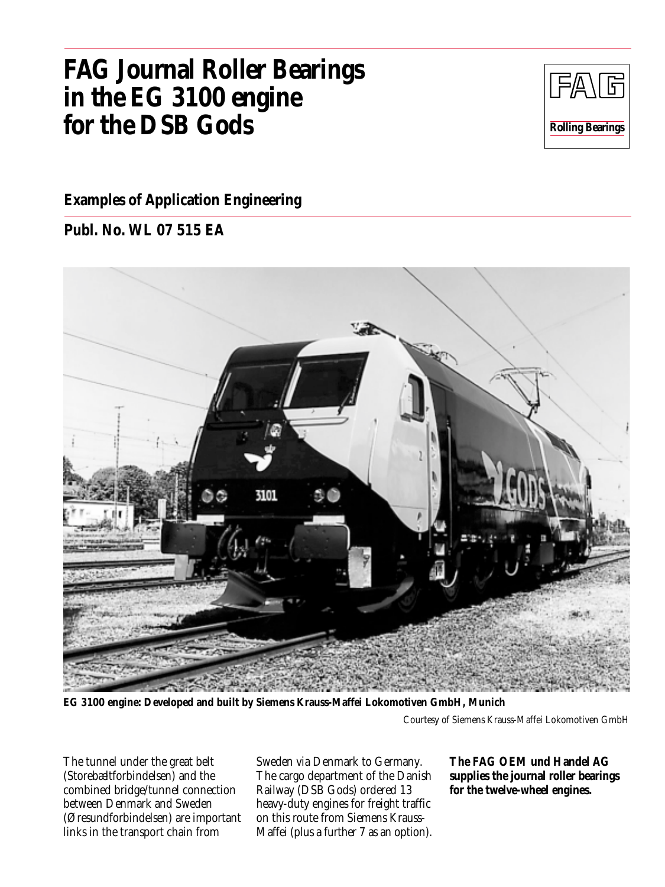# **FAG Journal Roller Bearings in the EG 3100 engine for the DSB Gods**



## **Examples of Application Engineering**

**Publ. No. WL 07 515 EA**



**EG 3100 engine: Developed and built by Siemens Krauss-Maffei Lokomotiven GmbH, Munich**

Courtesy of Siemens Krauss-Maffei Lokomotiven GmbH

The tunnel under the great belt (Storebæltforbindelsen) and the combined bridge/tunnel connection between Denmark and Sweden (Øresundforbindelsen) are important links in the transport chain from

Sweden via Denmark to Germany. The cargo department of the Danish Railway (DSB Gods) ordered 13 heavy-duty engines for freight traffic on this route from Siemens Krauss-Maffei (plus a further 7 as an option).

**The FAG OEM und Handel AG supplies the journal roller bearings for the twelve-wheel engines.**